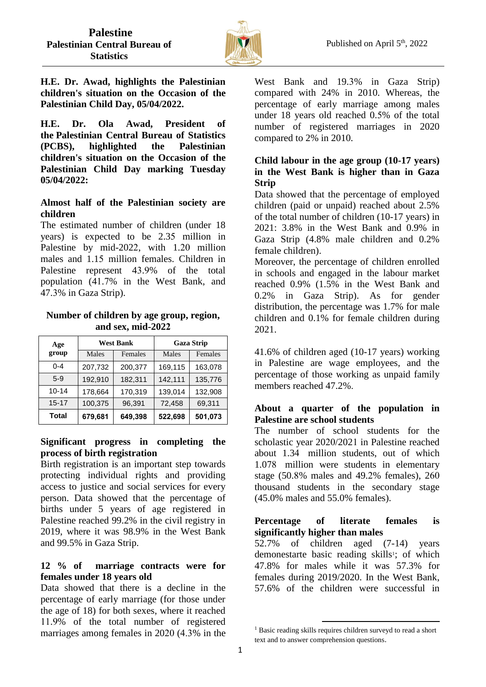

**H.E. Dr. Awad, highlights the Palestinian children's situation on the Occasion of the Palestinian Child Day, 05/04/2022.**

**H.E. Dr. Ola Awad, President of the Palestinian Central Bureau of Statistics (PCBS), highlighted the Palestinian children's situation on the Occasion of the Palestinian Child Day marking Tuesday 05/04/2022:**

#### **Almost half of the Palestinian society are children**

The estimated number of children (under 18 years) is expected to be 2.35 million in Palestine by mid-2022, with 1.20 million males and 1.15 million females. Children in Palestine represent 43.9% of the total population (41.7% in the West Bank, and 47.3% in Gaza Strip).

#### **Number of children by age group, region, and sex, mid-2022**

| Age          | <b>West Bank</b> |         | <b>Gaza Strip</b> |         |
|--------------|------------------|---------|-------------------|---------|
| group        | Males            | Females | Males             | Females |
| $0 - 4$      | 207,732          | 200,377 | 169,115           | 163,078 |
| $5-9$        | 192,910          | 182,311 | 142,111           | 135,776 |
| $10 - 14$    | 178,664          | 170,319 | 139,014           | 132,908 |
| $15 - 17$    | 100,375          | 96,391  | 72,458            | 69,311  |
| <b>Total</b> | 679,681          | 649,398 | 522,698           | 501,073 |

#### **Significant progress in completing the process of birth registration**

Birth registration is an important step towards protecting individual rights and providing access to justice and social services for every person. Data showed that the percentage of births under 5 years of age registered in Palestine reached 99.2% in the civil registry in 2019, where it was 98.9% in the West Bank and 99.5% in Gaza Strip.

# **12 % of marriage contracts were for females under 18 years old**

Data showed that there is a decline in the percentage of early marriage (for those under the age of 18) for both sexes, where it reached 11.9% of the total number of registered marriages among females in 2020 (4.3% in the West Bank and 19.3% in Gaza Strip) compared with 24% in 2010. Whereas, the percentage of early marriage among males under 18 years old reached 0.5% of the total number of registered marriages in 2020 compared to 2% in 2010.

# **Child labour in the age group (10-17 years) in the West Bank is higher than in Gaza Strip**

Data showed that the percentage of employed children (paid or unpaid) reached about 2.5% of the total number of children (10-17 years) in 2021: 3.8% in the West Bank and 0.9% in Gaza Strip (4.8% male children and 0.2% female children).

Moreover, the percentage of children enrolled in schools and engaged in the labour market reached 0.9% (1.5% in the West Bank and 0.2% in Gaza Strip). As for gender distribution, the percentage was 1.7% for male children and 0.1% for female children during 2021.

41.6% of children aged (10-17 years) working in Palestine are wage employees, and the percentage of those working as unpaid family members reached 47.2%.

# **About a quarter of the population in Palestine are school students**

The number of school students for the scholastic year 2020/2021 in Palestine reached about 1.34 million students, out of which 1.078 million were students in elementary stage (50.8% males and 49.2% females), 260 thousand students in the secondary stage (45.0% males and 55.0% females).

# **Percentage of literate females is significantly higher than males**

52.7% of children aged (7-14) years demonestarte basic reading skills<sup>1</sup>; of which 47.8% for males while it was 57.3% for females during 2019/2020. In the West Bank, 57.6% of the children were successful in

**.** 

<sup>&</sup>lt;sup>1</sup> Basic reading skills requires children surveyd to read a short text and to answer comprehension questions.